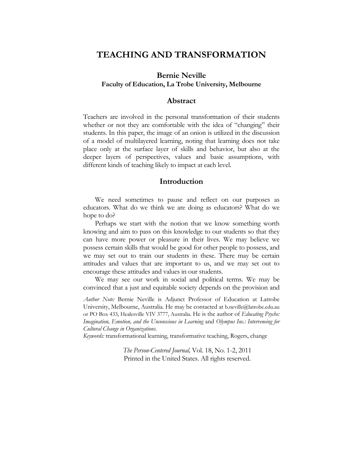# **TEACHING AND TRANSFORMATION**

# **Bernie Neville Faculty of Education, La Trobe University, Melbourne**

### **Abstract**

Teachers are involved in the personal transformation of their students whether or not they are comfortable with the idea of "changing" their students. In this paper, the image of an onion is utilized in the discussion of a model of multilayered learning, noting that learning does not take place only at the surface layer of skills and behavior, but also at the deeper layers of perspectives, values and basic assumptions, with different kinds of teaching likely to impact at each level.

#### **Introduction**

We need sometimes to pause and reflect on our purposes as educators. What do we think we are doing as educators? What do we hope to do?

Perhaps we start with the notion that we know something worth knowing and aim to pass on this knowledge to our students so that they can have more power or pleasure in their lives. We may believe we possess certain skills that would be good for other people to possess, and we may set out to train our students in these. There may be certain attitudes and values that are important to us, and we may set out to encourage these attitudes and values in our students.

We may see our work in social and political terms. We may be convinced that a just and equitable society depends on the provision and

*Author Note:* Bernie Neville is Adjunct Professor of Education at Latrobe University, Melbourne, Australia. He may be contacted at b.neville@latrobe.edu.au or PO Box 433, Healesville VIV 3777, Australia. He is the author of *Educating Psyche: Imagination, Emotion, and the Unconscious in Learning* and *Olympus Inc.: Interveneing for Cultural Change in Organizations.*

*Keywords:* transformational learning, transformative teaching, Rogers, change

*The Person-Centered Journal,* Vol. 18, No. 1-2, 2011 Printed in the United States. All rights reserved.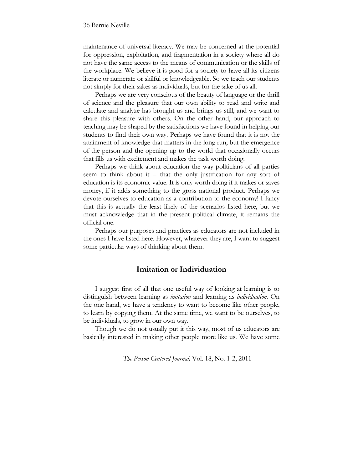maintenance of universal literacy. We may be concerned at the potential for oppression, exploitation, and fragmentation in a society where all do not have the same access to the means of communication or the skills of the workplace. We believe it is good for a society to have all its citizens literate or numerate or skilful or knowledgeable. So we teach our students not simply for their sakes as individuals, but for the sake of us all.

Perhaps we are very conscious of the beauty of language or the thrill of science and the pleasure that our own ability to read and write and calculate and analyze has brought us and brings us still, and we want to share this pleasure with others. On the other hand, our approach to teaching may be shaped by the satisfactions we have found in helping our students to find their own way. Perhaps we have found that it is not the attainment of knowledge that matters in the long run, but the emergence of the person and the opening up to the world that occasionally occurs that fills us with excitement and makes the task worth doing.

Perhaps we think about education the way politicians of all parties seem to think about it – that the only justification for any sort of education is its economic value. It is only worth doing if it makes or saves money, if it adds something to the gross national product. Perhaps we devote ourselves to education as a contribution to the economy! I fancy that this is actually the least likely of the scenarios listed here, but we must acknowledge that in the present political climate, it remains the official one.

Perhaps our purposes and practices as educators are not included in the ones I have listed here. However, whatever they are, I want to suggest some particular ways of thinking about them.

### **Imitation or Individuation**

I suggest first of all that one useful way of looking at learning is to distinguish between learning as *imitation* and learning as *individuation.* On the one hand, we have a tendency to want to become like other people, to learn by copying them. At the same time, we want to be ourselves, to be individuals, to grow in our own way.

Though we do not usually put it this way, most of us educators are basically interested in making other people more like us. We have some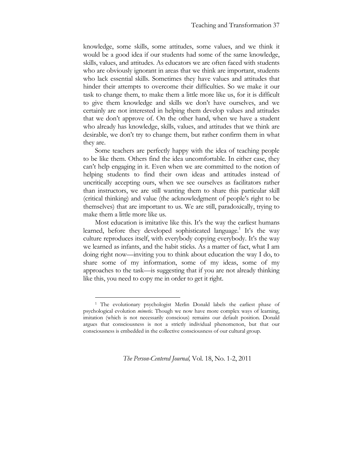knowledge, some skills, some attitudes, some values, and we think it would be a good idea if our students had some of the same knowledge, skills, values, and attitudes. As educators we are often faced with students who are obviously ignorant in areas that we think are important, students who lack essential skills. Sometimes they have values and attitudes that hinder their attempts to overcome their difficulties. So we make it our task to change them, to make them a little more like us, for it is difficult to give them knowledge and skills we don't have ourselves, and we certainly are not interested in helping them develop values and attitudes that we don't approve of. On the other hand, when we have a student who already has knowledge, skills, values, and attitudes that we think are desirable, we don't try to change them, but rather confirm them in what they are.

Some teachers are perfectly happy with the idea of teaching people to be like them. Others find the idea uncomfortable. In either case, they can't help engaging in it. Even when we are committed to the notion of helping students to find their own ideas and attitudes instead of uncritically accepting ours, when we see ourselves as facilitators rather than instructors, we are still wanting them to share this particular skill (critical thinking) and value (the acknowledgment of people's right to be themselves) that are important to us. We are still, paradoxically, trying to make them a little more like us.

Most education is imitative like this. It's the way the earliest humans learned, before they developed sophisticated language.<sup>1</sup> It's the way culture reproduces itself, with everybody copying everybody. It's the way we learned as infants, and the habit sticks. As a matter of fact, what I am doing right now—inviting you to think about education the way I do, to share some of my information, some of my ideas, some of my approaches to the task—is suggesting that if you are not already thinking like this, you need to copy me in order to get it right.

!!!!!!!!!!!!!!!!!!!!!!!!!!!!!!!!!!!!!!!!!!!!!!!!!!!!!!

<sup>1</sup> The evolutionary psychologist Merlin Donald labels the earliest phase of psychological evolution *mimetic.* Though we now have more complex ways of learning, imitation (which is not necessarily conscious) remains our default position. Donald argues that consciousness is not a strictly individual phenomenon, but that our consciousness is embedded in the collective consciousness of our cultural group.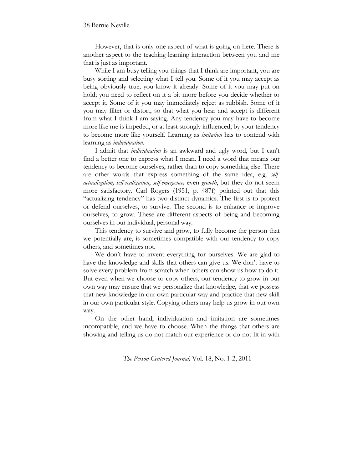However, that is only one aspect of what is going on here. There is another aspect to the teaching-learning interaction between you and me that is just as important.

While I am busy telling you things that I think are important, you are busy sorting and selecting what I tell you. Some of it you may accept as being obviously true; you know it already. Some of it you may put on hold; you need to reflect on it a bit more before you decide whether to accept it. Some of it you may immediately reject as rubbish. Some of it you may filter or distort, so that what you hear and accept is different from what I think I am saying. Any tendency you may have to become more like me is impeded, or at least strongly influenced, by your tendency to become more like yourself. Learning as *imitation* has to contend with learning as *individuation.*

I admit that *individuation* is an awkward and ugly word, but I can't find a better one to express what I mean. I need a word that means our tendency to become ourselves, rather than to copy something else. There are other words that express something of the same idea, e.g. *selfactualization, self-realization*, *self-emergence,* even *growth*, but they do not seem more satisfactory. Carl Rogers (1951, p. 487f) pointed out that this "actualizing tendency" has two distinct dynamics. The first is to protect or defend ourselves, to survive. The second is to enhance or improve ourselves, to grow. These are different aspects of being and becoming ourselves in our individual, personal way.

This tendency to survive and grow, to fully become the person that we potentially are, is sometimes compatible with our tendency to copy others, and sometimes not.

We don't have to invent everything for ourselves. We are glad to have the knowledge and skills that others can give us. We don't have to solve every problem from scratch when others can show us how to do it. But even when we choose to copy others, our tendency to grow in our own way may ensure that we personalize that knowledge, that we possess that new knowledge in our own particular way and practice that new skill in our own particular style. Copying others may help us grow in our own way.

On the other hand, individuation and imitation are sometimes incompatible, and we have to choose. When the things that others are showing and telling us do not match our experience or do not fit in with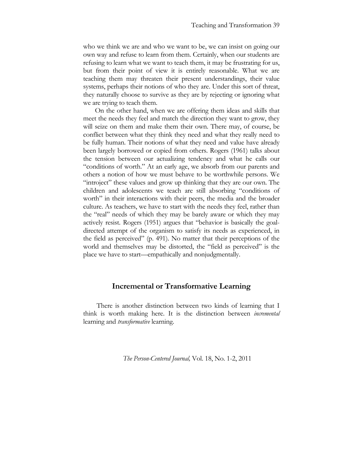who we think we are and who we want to be, we can insist on going our own way and refuse to learn from them. Certainly, when our students are refusing to learn what we want to teach them, it may be frustrating for us, but from their point of view it is entirely reasonable. What we are teaching them may threaten their present understandings, their value systems, perhaps their notions of who they are. Under this sort of threat, they naturally choose to survive as they are by rejecting or ignoring what we are trying to teach them.

On the other hand, when we are offering them ideas and skills that meet the needs they feel and match the direction they want to grow, they will seize on them and make them their own. There may, of course, be conflict between what they think they need and what they really need to be fully human. Their notions of what they need and value have already been largely borrowed or copied from others. Rogers (1961) talks about the tension between our actualizing tendency and what he calls our "conditions of worth." At an early age, we absorb from our parents and others a notion of how we must behave to be worthwhile persons. We "introject" these values and grow up thinking that they are our own. The children and adolescents we teach are still absorbing "conditions of worth" in their interactions with their peers, the media and the broader culture. As teachers, we have to start with the needs they feel, rather than the "real" needs of which they may be barely aware or which they may actively resist. Rogers (1951) argues that "behavior is basically the goaldirected attempt of the organism to satisfy its needs as experienced, in the field as perceived" (p. 491). No matter that their perceptions of the world and themselves may be distorted, the "field as perceived" is the place we have to start—empathically and nonjudgmentally.

### **Incremental or Transformative Learning**

There is another distinction between two kinds of learning that I think is worth making here. It is the distinction between *incremental* learning and *transformative* learning.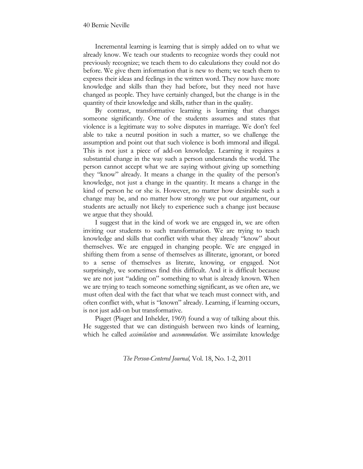Incremental learning is learning that is simply added on to what we already know. We teach our students to recognize words they could not previously recognize; we teach them to do calculations they could not do before. We give them information that is new to them; we teach them to express their ideas and feelings in the written word. They now have more knowledge and skills than they had before, but they need not have changed as people. They have certainly changed, but the change is in the quantity of their knowledge and skills, rather than in the quality.

By contrast, transformative learning is learning that changes someone significantly. One of the students assumes and states that violence is a legitimate way to solve disputes in marriage. We don't feel able to take a neutral position in such a matter, so we challenge the assumption and point out that such violence is both immoral and illegal. This is not just a piece of add-on knowledge. Learning it requires a substantial change in the way such a person understands the world. The person cannot accept what we are saying without giving up something they "know" already. It means a change in the quality of the person's knowledge, not just a change in the quantity. It means a change in the kind of person he or she is. However, no matter how desirable such a change may be, and no matter how strongly we put our argument, our students are actually not likely to experience such a change just because we argue that they should.

I suggest that in the kind of work we are engaged in, we are often inviting our students to such transformation. We are trying to teach knowledge and skills that conflict with what they already "know" about themselves. We are engaged in changing people. We are engaged in shifting them from a sense of themselves as illiterate, ignorant, or bored to a sense of themselves as literate, knowing, or engaged. Not surprisingly, we sometimes find this difficult. And it is difficult because we are not just "adding on" something to what is already known. When we are trying to teach someone something significant, as we often are, we must often deal with the fact that what we teach must connect with, and often conflict with, what is "known" already. Learning, if learning occurs, is not just add-on but transformative.

Piaget (Piaget and Inhelder, 1969) found a way of talking about this. He suggested that we can distinguish between two kinds of learning, which he called *assimilation* and *accommodation*. We assimilate knowledge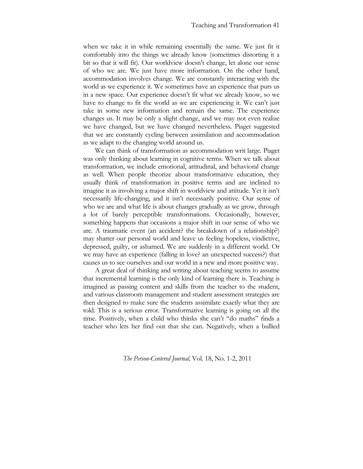when we take it in while remaining essentially the same. We just fit it comfortably into the things we already know (sometimes distorting it a bit so that it will fit). Our worldview doesn't change, let alone our sense of who we are. We just have more information. On the other hand, accommodation involves change. We are constantly interacting with the world as we experience it. We sometimes have an experience that puts us in a new space. Our experience doesn't fit what we already know, so we have to change to fit the world as we are experiencing it. We can't just take in some new information and remain the same. The experience changes us. It may be only a slight change, and we may not even realize we have changed, but we have changed nevertheless. Piaget suggested that we are constantly cycling between assimilation and accommodation as we adapt to the changing world around us.

We can think of transformation as accommodation writ large. Piaget was only thinking about learning in cognitive terms. When we talk about transformation, we include emotional, attitudinal, and behavioral change as well. When people theorize about transformative education, they usually think of transformation in positive terms and are inclined to imagine it as involving a major shift in worldview and attitude. Yet it isn't necessarily life-changing, and it isn't necessarily positive. Our sense of who we are and what life is about changes gradually as we grow, through a lot of barely perceptible transformations. Occasionally, however, something happens that occasions a major shift in our sense of who we are. A traumatic event (an accident? the breakdown of a relationship?) may shatter our personal world and leave us feeling hopeless, vindictive, depressed, guilty, or ashamed. We are suddenly in a different world. Or we may have an experience (falling in love? an unexpected success?) that causes us to see ourselves and our world in a new and more positive way.

A great deal of thinking and writing about teaching seems to assume that incremental learning is the only kind of learning there is. Teaching is imagined as passing content and skills from the teacher to the student, and various classroom management and student assessment strategies are then designed to make sure the students assimilate exactly what they are told. This is a serious error. Transformative learning is going on all the time. Positively, when a child who thinks she can't "do maths" finds a teacher who lets her find out that she can. Negatively, when a bullied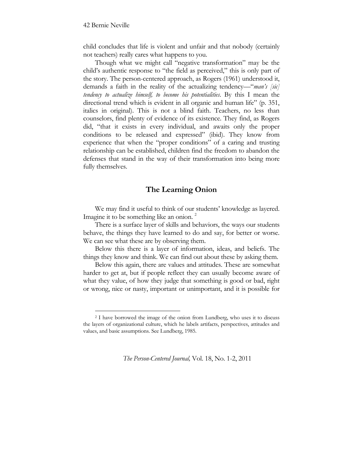child concludes that life is violent and unfair and that nobody (certainly not teachers) really cares what happens to you.

Though what we might call "negative transformation" may be the child's authentic response to "the field as perceived," this is only part of the story. The person-centered approach, as Rogers (1961) understood it, demands a faith in the reality of the actualizing tendency—"*man's [sic] tendency to actualize himself, to become his potentialities*. By this I mean the directional trend which is evident in all organic and human life" (p. 351, italics in original). This is not a blind faith. Teachers, no less than counselors, find plenty of evidence of its existence. They find, as Rogers did, "that it exists in every individual, and awaits only the proper conditions to be released and expressed" (ibid). They know from experience that when the "proper conditions" of a caring and trusting relationship can be established, children find the freedom to abandon the defenses that stand in the way of their transformation into being more fully themselves.

### **The Learning Onion**

We may find it useful to think of our students' knowledge as layered. Imagine it to be something like an onion.<sup>2</sup>

There is a surface layer of skills and behaviors, the ways our students behave, the things they have learned to do and say, for better or worse. We can see what these are by observing them.

Below this there is a layer of information, ideas, and beliefs. The things they know and think. We can find out about these by asking them.

Below this again, there are values and attitudes. These are somewhat harder to get at, but if people reflect they can usually become aware of what they value, of how they judge that something is good or bad, right or wrong, nice or nasty, important or unimportant, and it is possible for

!!!!!!!!!!!!!!!!!!!!!!!!!!!!!!!!!!!!!!!!!!!!!!!!!!!!!!

<sup>2</sup> I have borrowed the image of the onion from Lundberg, who uses it to discuss the layers of organizational culture, which he labels artifacts, perspectives, attitudes and values, and basic assumptions. See Lundberg, 1985.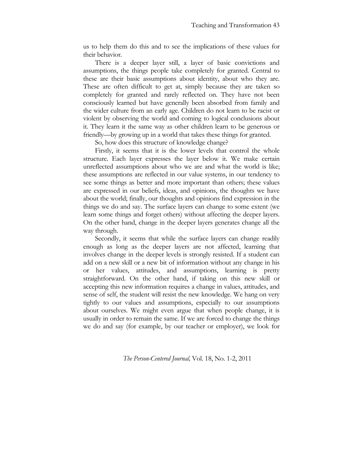us to help them do this and to see the implications of these values for their behavior.

There is a deeper layer still, a layer of basic convictions and assumptions, the things people take completely for granted. Central to these are their basic assumptions about identity, about who they are. These are often difficult to get at, simply because they are taken so completely for granted and rarely reflected on. They have not been consciously learned but have generally been absorbed from family and the wider culture from an early age. Children do not learn to be racist or violent by observing the world and coming to logical conclusions about it. They learn it the same way as other children learn to be generous or friendly—by growing up in a world that takes these things for granted.

So, how does this structure of knowledge change?

Firstly, it seems that it is the lower levels that control the whole structure. Each layer expresses the layer below it. We make certain unreflected assumptions about who we are and what the world is like; these assumptions are reflected in our value systems, in our tendency to see some things as better and more important than others; these values are expressed in our beliefs, ideas, and opinions, the thoughts we have about the world; finally, our thoughts and opinions find expression in the things we do and say. The surface layers can change to some extent (we learn some things and forget others) without affecting the deeper layers. On the other hand, change in the deeper layers generates change all the way through.

Secondly, it seems that while the surface layers can change readily enough as long as the deeper layers are not affected, learning that involves change in the deeper levels is strongly resisted. If a student can add on a new skill or a new bit of information without any change in his or her values, attitudes, and assumptions, learning is pretty straightforward. On the other hand, if taking on this new skill or accepting this new information requires a change in values, attitudes, and sense of self, the student will resist the new knowledge. We hang on very tightly to our values and assumptions, especially to our assumptions about ourselves. We might even argue that when people change, it is usually in order to remain the same. If we are forced to change the things we do and say (for example, by our teacher or employer), we look for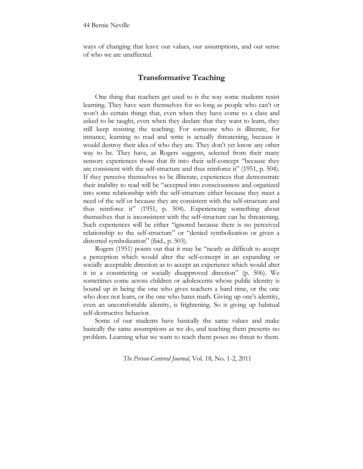ways of changing that leave our values, our assumptions, and our sense of who we are unaffected.

### **Transformative Teaching**

One thing that teachers get used to is the way some students resist learning. They have seen themselves for so long as people who can't or won't do certain things that, even when they have come to a class and asked to be taught, even when they declare that they want to learn, they still keep resisting the teaching. For someone who is illiterate, for instance, learning to read and write is actually threatening, because it would destroy their idea of who they are. They don't yet know any other way to be. They have, as Rogers suggests, selected from their many sensory experiences those that fit into their self-concept "because they are consistent with the self-structure and thus reinforce it" (1951, p. 504). If they perceive themselves to be illiterate, experiences that demonstrate their inability to read will be "accepted into consciousness and organized into some relationship with the self-structure either because they meet a need of the self or because they are consistent with the self-structure and thus reinforce it" (1951, p. 504). Experiencing something about themselves that is inconsistent with the self-structure can be threatening. Such experiences will be either "ignored because there is no perceived relationship to the self-structure" or "denied symbolization or given a distorted symbolization" (ibid., p. 503).

Rogers (1951) points out that it may be "nearly as difficult to accept a perception which would alter the self-concept in an expanding or socially acceptable direction as to accept an experience which would alter it in a constricting or socially disapproved direction" (p. 506). We sometimes come across children or adolescents whose public identity is bound up in being the one who gives teachers a hard time, or the one who does not learn, or the one who hates math. Giving up one's identity, even an uncomfortable identity, is frightening. So is giving up habitual self-destructive behavior.

Some of our students have basically the same values and make basically the same assumptions as we do, and teaching them presents no problem. Learning what we want to teach them poses no threat to them.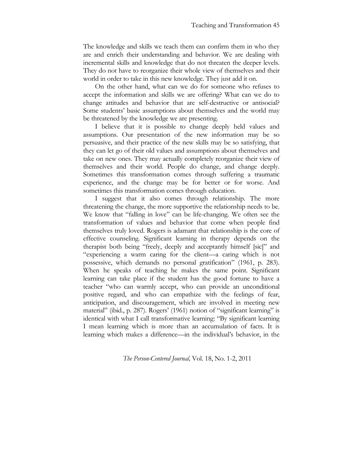The knowledge and skills we teach them can confirm them in who they are and enrich their understanding and behavior. We are dealing with incremental skills and knowledge that do not threaten the deeper levels. They do not have to reorganize their whole view of themselves and their world in order to take in this new knowledge. They just add it on.

On the other hand, what can we do for someone who refuses to accept the information and skills we are offering? What can we do to change attitudes and behavior that are self-destructive or antisocial? Some students' basic assumptions about themselves and the world may be threatened by the knowledge we are presenting.

I believe that it is possible to change deeply held values and assumptions. Our presentation of the new information may be so persuasive, and their practice of the new skills may be so satisfying, that they can let go of their old values and assumptions about themselves and take on new ones. They may actually completely reorganize their view of themselves and their world. People do change, and change deeply. Sometimes this transformation comes through suffering a traumatic experience, and the change may be for better or for worse. And sometimes this transformation comes through education.

I suggest that it also comes through relationship. The more threatening the change, the more supportive the relationship needs to be. We know that "falling in love" can be life-changing. We often see the transformation of values and behavior that come when people find themselves truly loved. Rogers is adamant that relationship is the core of effective counseling. Significant learning in therapy depends on the therapist both being "freely, deeply and acceptantly himself [sic]" and "experiencing a warm caring for the client—a caring which is not possessive, which demands no personal gratification" (1961, p. 283). When he speaks of teaching he makes the same point. Significant learning can take place if the student has the good fortune to have a teacher "who can warmly accept, who can provide an unconditional positive regard, and who can empathize with the feelings of fear, anticipation, and discouragement, which are involved in meeting new material" (ibid., p. 287). Rogers' (1961) notion of "significant learning" is identical with what I call transformative learning: "By significant learning I mean learning which is more than an accumulation of facts. It is learning which makes a difference—in the individual's behavior, in the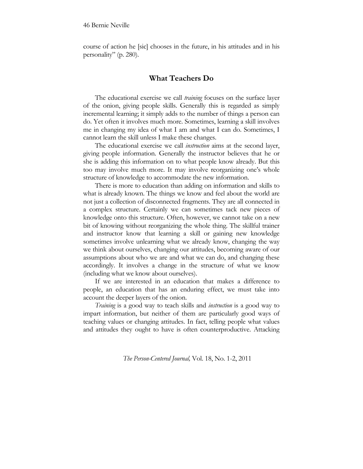course of action he [sic] chooses in the future, in his attitudes and in his personality" (p. 280).

### **What Teachers Do**

The educational exercise we call *training* focuses on the surface layer of the onion, giving people skills. Generally this is regarded as simply incremental learning; it simply adds to the number of things a person can do. Yet often it involves much more. Sometimes, learning a skill involves me in changing my idea of what I am and what I can do. Sometimes, I cannot learn the skill unless I make these changes.

The educational exercise we call *instruction* aims at the second layer, giving people information. Generally the instructor believes that he or she is adding this information on to what people know already. But this too may involve much more. It may involve reorganizing one's whole structure of knowledge to accommodate the new information.

There is more to education than adding on information and skills to what is already known. The things we know and feel about the world are not just a collection of disconnected fragments. They are all connected in a complex structure. Certainly we can sometimes tack new pieces of knowledge onto this structure. Often, however, we cannot take on a new bit of knowing without reorganizing the whole thing. The skillful trainer and instructor know that learning a skill or gaining new knowledge sometimes involve unlearning what we already know, changing the way we think about ourselves, changing our attitudes, becoming aware of our assumptions about who we are and what we can do, and changing these accordingly. It involves a change in the structure of what we know (including what we know about ourselves).

If we are interested in an education that makes a difference to people, an education that has an enduring effect, we must take into account the deeper layers of the onion.

*Training* is a good way to teach skills and *instruction* is a good way to impart information, but neither of them are particularly good ways of teaching values or changing attitudes. In fact, telling people what values and attitudes they ought to have is often counterproductive. Attacking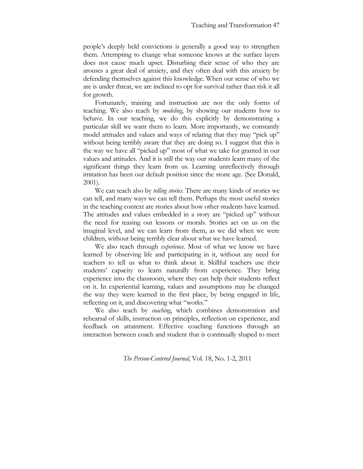people's deeply held convictions is generally a good way to strengthen them. Attempting to change what someone knows at the surface layers does not cause much upset. Disturbing their sense of who they are arouses a great deal of anxiety, and they often deal with this anxiety by defending themselves against this knowledge. When our sense of who we are is under threat, we are inclined to opt for survival rather than risk it all for growth.

Fortunately, training and instruction are not the only forms of teaching. We also teach by *modeling*, by showing our students how to behave. In our teaching, we do this explicitly by demonstrating a particular skill we want them to learn. More importantly, we constantly model attitudes and values and ways of relating that they may "pick up" without being terribly aware that they are doing so. I suggest that this is the way we have all "picked up" most of what we take for granted in our values and attitudes. And it is still the way our students learn many of the significant things they learn from us. Learning unreflectively through imitation has been our default position since the stone age. (See Donald, 2001).

We can teach also by *telling stories.* There are many kinds of stories we can tell, and many ways we can tell them. Perhaps the most useful stories in the teaching context are stories about how other students have learned. The attitudes and values embedded in a story are "picked up" without the need for teasing out lessons or morals. Stories act on us on the imaginal level, and we can learn from them, as we did when we were children, without being terribly clear about what we have learned.

We also teach through *experience.* Most of what we know we have learned by observing life and participating in it, without any need for teachers to tell us what to think about it. Skillful teachers use their students' capacity to learn naturally from experience. They bring experience into the classroom, where they can help their students reflect on it. In experiential learning, values and assumptions may be changed the way they were learned in the first place, by being engaged in life, reflecting on it, and discovering what "works."

We also teach by *coaching*, which combines demonstration and rehearsal of skills, instruction on principles, reflection on experience, and feedback on attainment. Effective coaching functions through an interaction between coach and student that is continually shaped to meet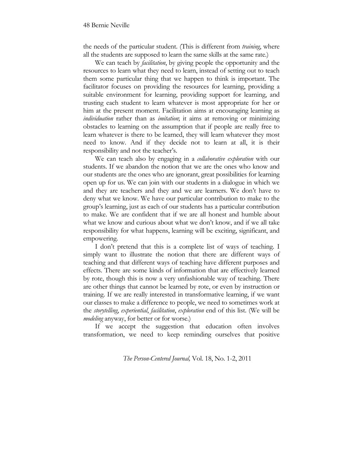the needs of the particular student. (This is different from *training*, where all the students are supposed to learn the same skills at the same rate.)

We can teach by *facilitation*, by giving people the opportunity and the resources to learn what they need to learn, instead of setting out to teach them some particular thing that we happen to think is important. The facilitator focuses on providing the resources for learning, providing a suitable environment for learning, providing support for learning, and trusting each student to learn whatever is most appropriate for her or him at the present moment. Facilitation aims at encouraging learning as *individuation* rather than as *imitation*; it aims at removing or minimizing obstacles to learning on the assumption that if people are really free to learn whatever is there to be learned, they will learn whatever they most need to know. And if they decide not to learn at all, it is their responsibility and not the teacher's.

We can teach also by engaging in a *collaborative exploration* with our students. If we abandon the notion that we are the ones who know and our students are the ones who are ignorant, great possibilities for learning open up for us. We can join with our students in a dialogue in which we and they are teachers and they and we are learners. We don't have to deny what we know. We have our particular contribution to make to the group's learning, just as each of our students has a particular contribution to make. We are confident that if we are all honest and humble about what we know and curious about what we don't know, and if we all take responsibility for what happens, learning will be exciting, significant, and empowering.

I don't pretend that this is a complete list of ways of teaching. I simply want to illustrate the notion that there are different ways of teaching and that different ways of teaching have different purposes and effects. There are some kinds of information that are effectively learned by rote, though this is now a very unfashionable way of teaching. There are other things that cannot be learned by rote, or even by instruction or training. If we are really interested in transformative learning, if we want our classes to make a difference to people, we need to sometimes work at the *storytelling*, *experiential*, *facilitation*, *exploration* end of this list. (We will be *modeling* anyway, for better or for worse.)

If we accept the suggestion that education often involves transformation, we need to keep reminding ourselves that positive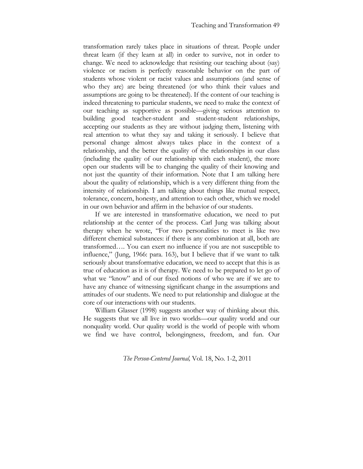transformation rarely takes place in situations of threat. People under threat learn (if they learn at all) in order to survive, not in order to change. We need to acknowledge that resisting our teaching about (say) violence or racism is perfectly reasonable behavior on the part of students whose violent or racist values and assumptions (and sense of who they are) are being threatened (or who think their values and assumptions are going to be threatened). If the content of our teaching is indeed threatening to particular students, we need to make the context of our teaching as supportive as possible—giving serious attention to building good teacher-student and student-student relationships, accepting our students as they are without judging them, listening with real attention to what they say and taking it seriously. I believe that personal change almost always takes place in the context of a relationship, and the better the quality of the relationships in our class (including the quality of our relationship with each student), the more open our students will be to changing the quality of their knowing and not just the quantity of their information. Note that I am talking here about the quality of relationship, which is a very different thing from the intensity of relationship. I am talking about things like mutual respect, tolerance, concern, honesty, and attention to each other, which we model in our own behavior and affirm in the behavior of our students.

If we are interested in transformative education, we need to put relationship at the center of the process. Carl Jung was talking about therapy when he wrote, "For two personalities to meet is like two different chemical substances: if there is any combination at all, both are transformed…. You can exert no influence if you are not susceptible to influence," (Jung, 1966: para. 163), but I believe that if we want to talk seriously about transformative education, we need to accept that this is as true of education as it is of therapy. We need to be prepared to let go of what we "know" and of our fixed notions of who we are if we are to have any chance of witnessing significant change in the assumptions and attitudes of our students. We need to put relationship and dialogue at the core of our interactions with our students.

William Glasser (1998) suggests another way of thinking about this. He suggests that we all live in two worlds—our quality world and our nonquality world. Our quality world is the world of people with whom we find we have control, belongingness, freedom, and fun. Our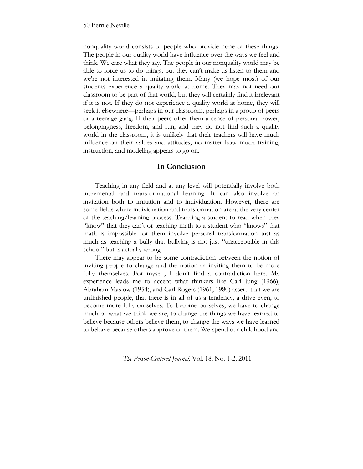nonquality world consists of people who provide none of these things. The people in our quality world have influence over the ways we feel and think. We care what they say. The people in our nonquality world may be able to force us to do things, but they can't make us listen to them and we're not interested in imitating them. Many (we hope most) of our students experience a quality world at home. They may not need our classroom to be part of that world, but they will certainly find it irrelevant if it is not. If they do not experience a quality world at home, they will seek it elsewhere—perhaps in our classroom, perhaps in a group of peers or a teenage gang. If their peers offer them a sense of personal power, belongingness, freedom, and fun, and they do not find such a quality world in the classroom, it is unlikely that their teachers will have much influence on their values and attitudes, no matter how much training, instruction, and modeling appears to go on.

## **In Conclusion**

Teaching in any field and at any level will potentially involve both incremental and transformational learning. It can also involve an invitation both to imitation and to individuation. However, there are some fields where individuation and transformation are at the very center of the teaching/learning process. Teaching a student to read when they "know" that they can't or teaching math to a student who "knows" that math is impossible for them involve personal transformation just as much as teaching a bully that bullying is not just "unacceptable in this school" but is actually wrong.

There may appear to be some contradiction between the notion of inviting people to change and the notion of inviting them to be more fully themselves. For myself, I don't find a contradiction here. My experience leads me to accept what thinkers like Carl Jung (1966), Abraham Maslow (1954), and Carl Rogers (1961, 1980) assert: that we are unfinished people, that there is in all of us a tendency, a drive even, to become more fully ourselves. To become ourselves, we have to change much of what we think we are, to change the things we have learned to believe because others believe them, to change the ways we have learned to behave because others approve of them. We spend our childhood and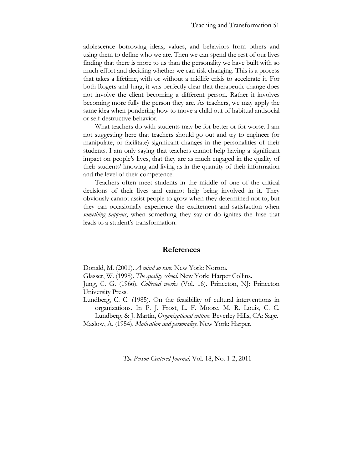adolescence borrowing ideas, values, and behaviors from others and using them to define who we are. Then we can spend the rest of our lives finding that there is more to us than the personality we have built with so much effort and deciding whether we can risk changing. This is a process that takes a lifetime, with or without a midlife crisis to accelerate it. For both Rogers and Jung, it was perfectly clear that therapeutic change does not involve the client becoming a different person. Rather it involves becoming more fully the person they are. As teachers, we may apply the same idea when pondering how to move a child out of habitual antisocial or self-destructive behavior.

What teachers do with students may be for better or for worse. I am not suggesting here that teachers should go out and try to engineer (or manipulate, or facilitate) significant changes in the personalities of their students. I am only saying that teachers cannot help having a significant impact on people's lives, that they are as much engaged in the quality of their students' knowing and living as in the quantity of their information and the level of their competence.

Teachers often meet students in the middle of one of the critical decisions of their lives and cannot help being involved in it. They obviously cannot assist people to grow when they determined not to, but they can occasionally experience the excitement and satisfaction when *something happens*, when something they say or do ignites the fuse that leads to a student's transformation.

#### **References**

Donald, M. (2001). *A mind so rare.* New York: Norton*.*

Glasser, W. (1998). *The quality school*. New York: Harper Collins.

Jung, C. G. (1966). *Collected works* (Vol. 16). Princeton, NJ: Princeton University Press.

Lundberg, C. C. (1985). On the feasibility of cultural interventions in organizations. In P. J. Frost, L. F. Moore, M. R. Louis, C. C. Lundberg, & J. Martin, *Organizational culture*. Beverley Hills, CA: Sage.

Maslow, A. (1954). *Motivation and personality*. New York: Harper.